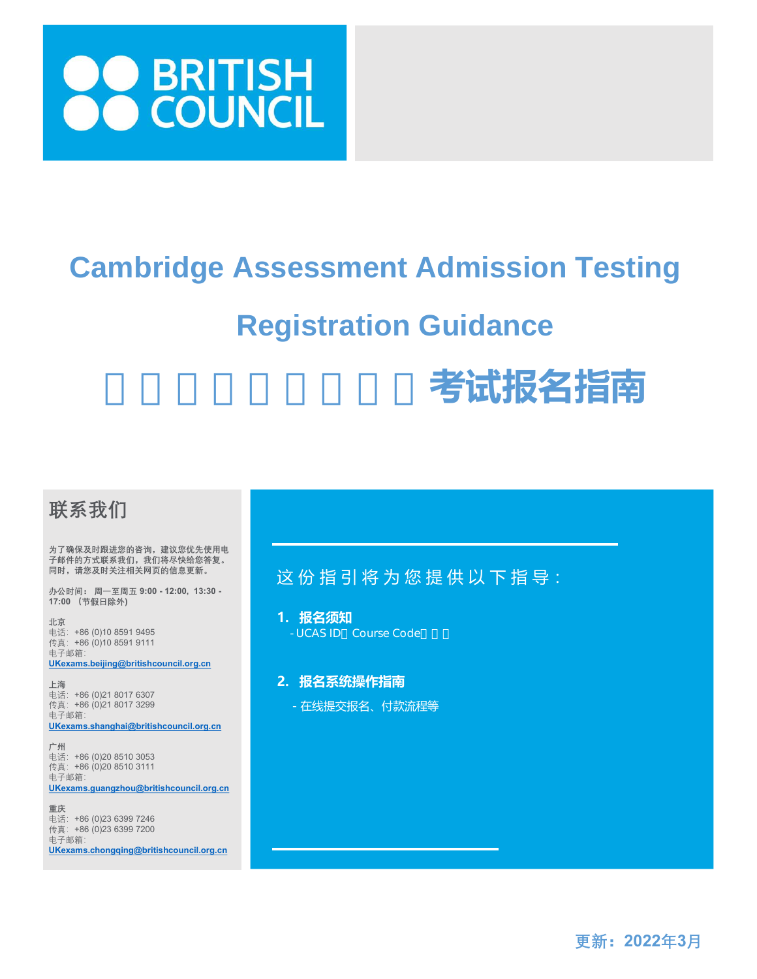

# **Cambridge Assessment Admission Testing**

## **Registration Guidance**

# 考试报名指南

## 联系我们

为了确保及时跟进您的咨询,建议您优先使用电 子邮件的方式联系我们,我们将尽快给您答复。 同时,请您及时关注相关网页的信息更新。

办公时间: 周一至周五 9:00 - 12:00, 13:30 - 17:00 (节假日除外)

北京 电话:+86 (0)10 8591 9495 传真:+86 (0)10 8591 9111 电子邮箱: UKexams.beijing@britishcouncil.org.cn

上海 电话:+86 (0)21 8017 6307 传真:+86 (0)21 8017 3299 电子邮箱: UKexams.shanghai@britishcouncil.org.cn

广州 电话:+86 (0)20 8510 3053 传真: +86 (0)20 8510 3111 电子邮箱: UKexams.guangzhou@britishcouncil.org.cn

重庆 电话:+86 (0)23 6399 7246 传真:+86 (0)23 6399 7200 电子邮箱: UKexams.chongqing@britishcouncil.org.cn

## 这份指引将为您提供以下指导:

1. 报名须知 - UCAS ID Course Code

#### 2. 报名系统操作指南

- 在线提交报名、付款流程等

更新:2022年3月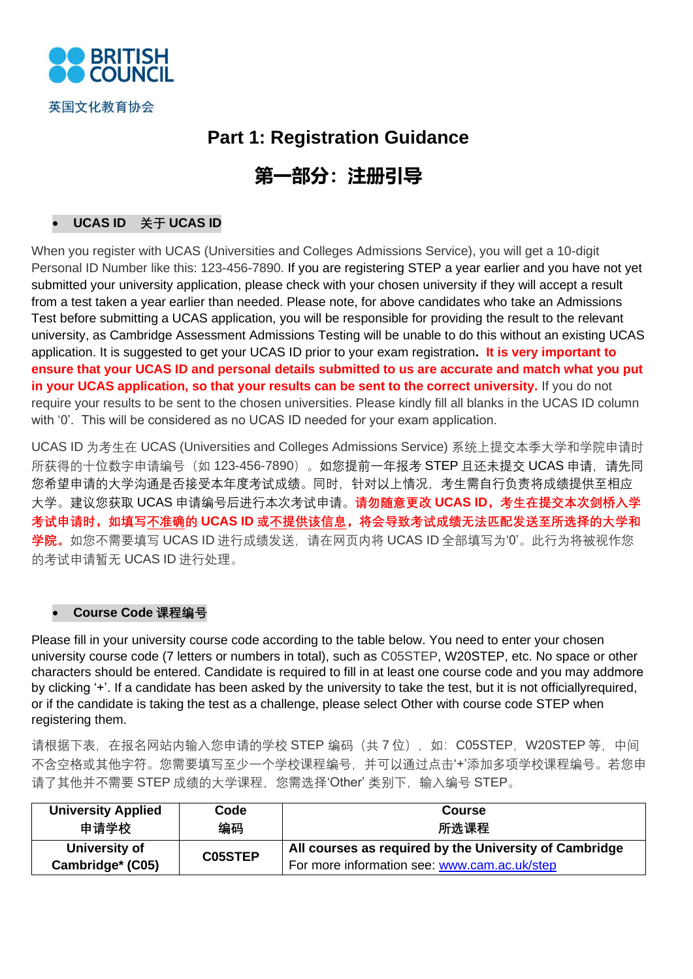

## **Part 1: Registration Guidance**

## **第一部分:注册引导**

#### • **UCAS ID 关于 UCAS ID**

When you register with UCAS (Universities and Colleges Admissions Service), you will get a 10-digit Personal ID Number like this: 123-456-7890. If you are registering STEP a year earlier and you have not yet submitted your university application, please check with your chosen university if they will accept a result from a test taken a year earlier than needed. Please note, for above candidates who take an Admissions Test before submitting a UCAS application, you will be responsible for providing the result to the relevant university, as Cambridge Assessment Admissions Testing will be unable to do this without an existing UCAS application. It is suggested to get your UCAS ID prior to your exam registration**. It is very important to ensure that your UCAS ID and personal details submitted to us are accurate and match what you put in your UCAS application, so that your results can be sent to the correct university.** If you do not require your results to be sent to the chosen universities. Please kindly fill all blanks in the UCAS ID column with '0'. This will be considered as no UCAS ID needed for your exam application.

UCAS ID 为考生在 UCAS (Universities and Colleges Admissions Service) 系统上提交本季大学和学院申请时 所获得的十位数字申请编号 (如 123-456-7890) 。如您提前一年报考 STEP 日还未提交 UCAS 申请, 请先同 您希望申请的大学沟通是否接受本年度考试成绩。同时,针对以上情况,考生需自行负责将成绩提供至相应 大学。建议您获取 UCAS 申请编号后进行本次考试申请。**请勿随意更改 UCAS ID,考生在提交本次剑桥入学 考试申请时,如填写不准确的 UCAS ID 或不提供该信息,将会导致考试成绩无法匹配发送至所选择的大学和 学院。**如您不需要填写 UCAS ID 进行成绩发送,请在网页内将 UCAS ID 全部填写为'0'。此行为将被视作您 的考试申请暂无 UCAS ID 进行处理。

#### • **Course Code 课程编号**

Please fill in your university course code according to the table below. You need to enter your chosen university course code (7 letters or numbers in total), such as C05STEP, W20STEP, etc. No space or other characters should be entered. Candidate is required to fill in at least one course code and you may addmore by clicking '+'. If a candidate has been asked by the university to take the test, but it is not officiallyrequired, or if the candidate is taking the test as a challenge, please select Other with course code STEP when registering them.

请根据下表, 在报名网站内输入您申请的学校 STEP 编码 (共 7 位), 如: C05STEP, W20STEP 等, 中间 不含空格或其他字符。您需要填写至少一个学校课程编号,并可以通过点击'+'添加多项学校课程编号。若您申 请了其他并不需要 STEP 成绩的大学课程, 您需选择'Other' 类别下, 输入编号 STEP。

| <b>University Applied</b> | Code           | <b>Course</b>                                          |
|---------------------------|----------------|--------------------------------------------------------|
| 申请学校                      | 编码             | 所选课程                                                   |
| University of             | <b>C05STEP</b> | All courses as required by the University of Cambridge |
| Cambridge* (C05)          |                | For more information see: www.cam.ac.uk/step           |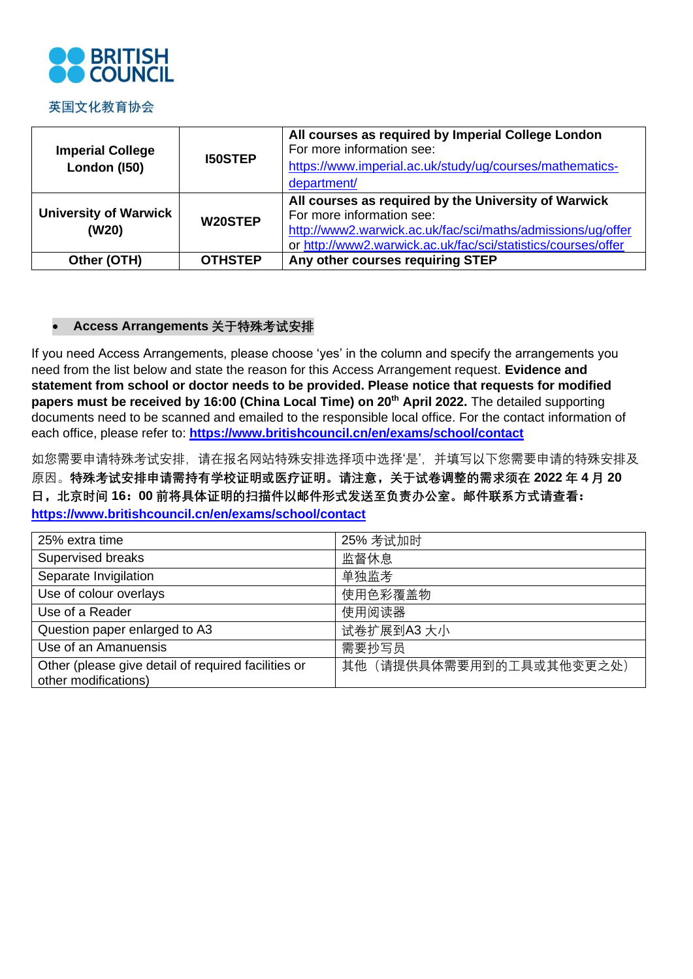

#### 英国文化教育协会

| <b>Imperial College</b><br>London (150) | <b>I50STEP</b> | All courses as required by Imperial College London<br>For more information see:<br>https://www.imperial.ac.uk/study/ug/courses/mathematics-<br>department/                                                        |
|-----------------------------------------|----------------|-------------------------------------------------------------------------------------------------------------------------------------------------------------------------------------------------------------------|
| <b>University of Warwick</b><br>(W20)   | W20STEP        | All courses as required by the University of Warwick<br>For more information see:<br>http://www2.warwick.ac.uk/fac/sci/maths/admissions/ug/offer<br>or http://www2.warwick.ac.uk/fac/sci/statistics/courses/offer |
| Other (OTH)                             | <b>OTHSTEP</b> | Any other courses requiring STEP                                                                                                                                                                                  |

#### • **Access Arrangements 关于特殊考试安排**

If you need Access Arrangements, please choose 'yes' in the column and specify the arrangements you need from the list below and state the reason for this Access Arrangement request. **Evidence and statement from school or doctor needs to be provided. Please notice that requests for modified papers must be received by 16:00 (China Local Time) on 20th April 2022.** The detailed supporting documents need to be scanned and emailed to the responsible local office. For the contact information of each office, please refer to: **<https://www.britishcouncil.cn/en/exams/school/contact>**

如您需要申请特殊考试安排,请在报名网站特殊安排选择项中选择'是',并填写以下您需要申请的特殊安排及 原因。**特殊考试安排申请需持有学校证明或医疗证明。请注意,关于试卷调整的需求须在 2022 年 4 月 20 日,北京时间 16:00 前将具体证明的扫描件以邮件形式发送至负责办公室。邮件联系方式请查看: <https://www.britishcouncil.cn/en/exams/school/contact>**

| 25% extra time                                                              | 25% 考试加时                |
|-----------------------------------------------------------------------------|-------------------------|
| Supervised breaks                                                           | 监督休息                    |
| Separate Invigilation                                                       | 单独监考                    |
| Use of colour overlays                                                      | 使用色彩覆盖物                 |
| Use of a Reader                                                             | 使用阅读器                   |
| Question paper enlarged to A3                                               | 试卷扩展到A3 大小              |
| Use of an Amanuensis                                                        | 需要抄写员                   |
| Other (please give detail of required facilities or<br>other modifications) | 其他(请提供具体需要用到的工具或其他变更之处) |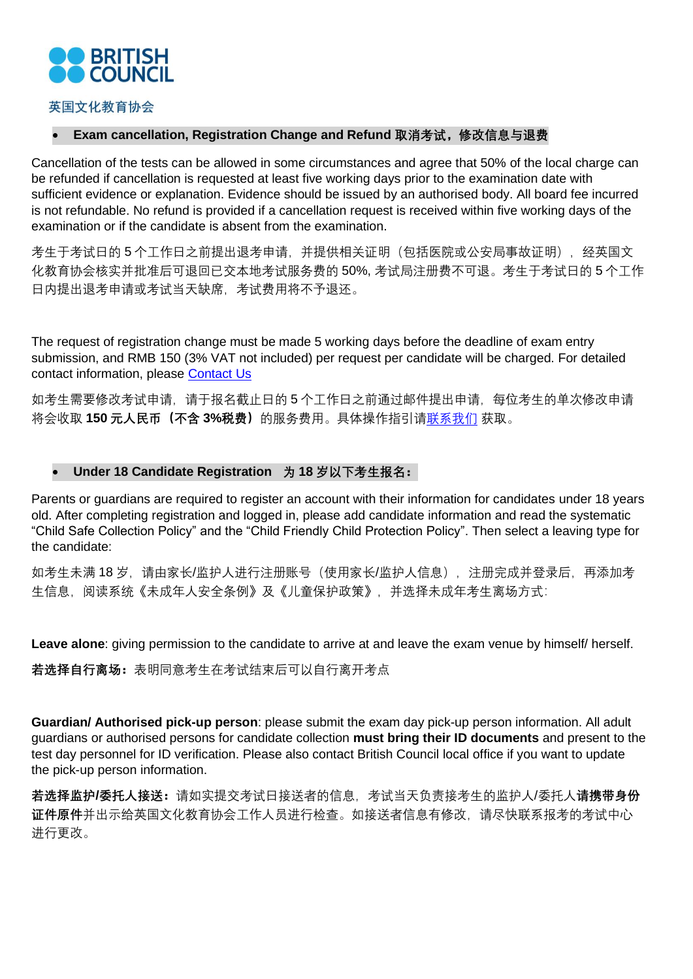

#### 英国文化教育协会

#### • **Exam cancellation, Registration Change and Refund 取消考试,修改信息与退费**

Cancellation of the tests can be allowed in some circumstances and agree that 50% of the local charge can be refunded if cancellation is requested at least five working days prior to the examination date with sufficient evidence or explanation. Evidence should be issued by an authorised body. All board fee incurred is not refundable. No refund is provided if a cancellation request is received within five working days of the examination or if the candidate is absent from the examination.

考生于考试日的 5 个工作日之前提出退考申请, 并提供相关证明(包括医院或公安局事故证明), 经英国文 化教育协会核实并批准后可退回已交本地考试服务费的 50%, 考试局注册费不可退。考生于考试日的 5 个工作 日内提出退考申请或考试当天缺席,考试费用将不予退还。

The request of registration change must be made 5 working days before the deadline of exam entry submission, and RMB 150 (3% VAT not included) per request per candidate will be charged. For detailed contact information, please [Contact Us](https://www.britishcouncil.cn/en/exams/school/contact)

如考生需要修改考试申请,请于报名截止日的5个工作日之前通过邮件提出申请,每位考生的单次修改申请 将会收取 **150 元人民币(不含 3%税费)**的服务费用。具体操作指引[请联系我们](https://www.britishcouncil.cn/en/exams/school/contact) 获取。

#### • **Under 18 Candidate Registration 为 18 岁以下考生报名:**

Parents or guardians are required to register an account with their information for candidates under 18 years old. After completing registration and logged in, please add candidate information and read the systematic "Child Safe Collection Policy" and the "Child Friendly Child Protection Policy". Then select a leaving type for the candidate:

如考生未满 18 岁, 请由家长/监护人进行注册账号(使用家长/监护人信息), 注册完成并登录后, 再添加考 生信息,阅读系统《未成年人安全条例》及《儿童保护政策》,并选择未成年考生离场方式:

**Leave alone**: giving permission to the candidate to arrive at and leave the exam venue by himself/ herself.

**若选择自行离场:**表明同意考生在考试结束后可以自行离开考点

**Guardian/ Authorised pick-up person**: please submit the exam day pick-up person information. All adult guardians or authorised persons for candidate collection **must bring their ID documents** and present to the test day personnel for ID verification. Please also contact British Council local office if you want to update the pick-up person information.

**若选择监护/委托人接送:**请如实提交考试日接送者的信息,考试当天负责接考生的监护人/委托人**请携带身份 证件原件**并出示给英国文化教育协会工作人员进行检查。如接送者信息有修改,请尽快联系报考的考试中心 进行更改。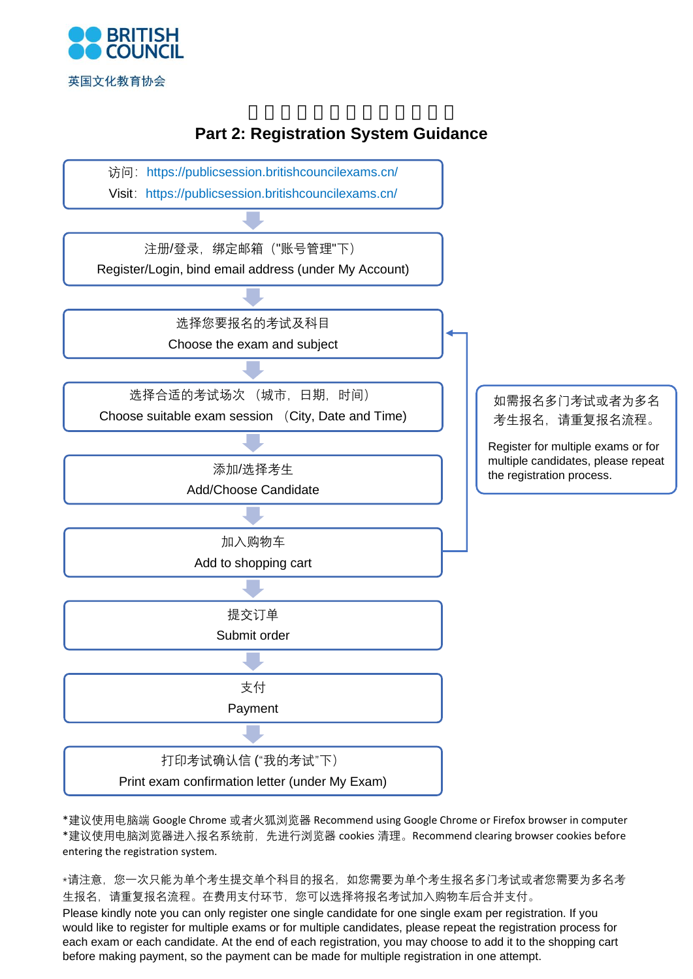





\*建议使用电脑端 Google Chrome 或者火狐浏览器 Recommend using Google Chrome or Firefox browser in computer \*建议使用电脑浏览器进入报名系统前,先进行浏览器 cookies 清理。Recommend clearing browser cookies before entering the registration system.

\*请注意,您一次只能为单个考生提交单个科目的报名,如您需要为单个考生报名多门考试或者您需要为多名考 生报名,请重复报名流程。在费用支付环节,您可以选择将报名考试加入购物车后合并支付。 Please kindly note you can only register one single candidate for one single exam per registration. If you would like to register for multiple exams or for multiple candidates, please repeat the registration process for each exam or each candidate. At the end of each registration, you may choose to add it to the shopping cart before making payment, so the payment can be made for multiple registration in one attempt.